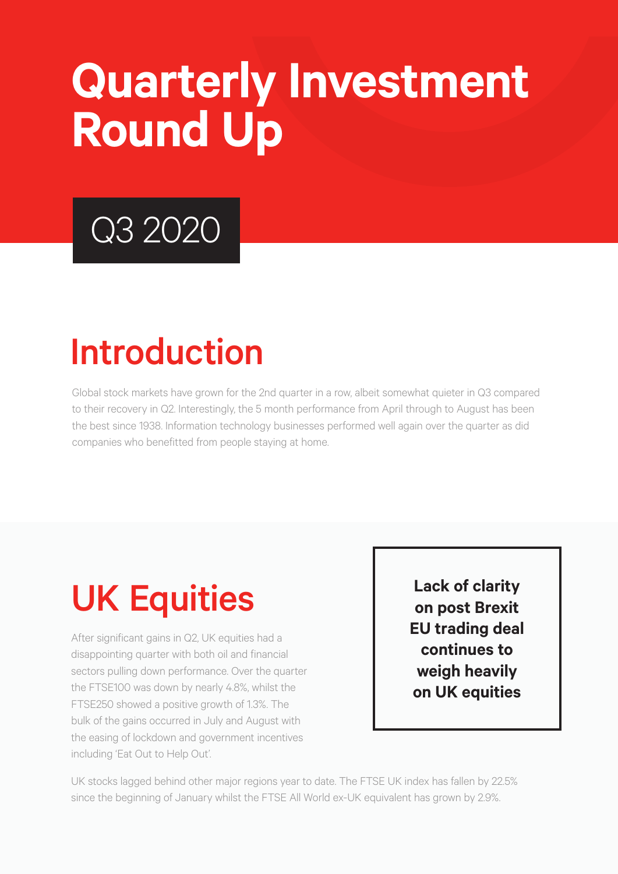# **Quarterly Investment Round Up**

## Q3 2020

### Introduction

Global stock markets have grown for the 2nd quarter in a row, albeit somewhat quieter in Q3 compared to their recovery in Q2. Interestingly, the 5 month performance from April through to August has been the best since 1938. Information technology businesses performed well again over the quarter as did companies who benefitted from people staying at home.

### UK Equities

After significant gains in Q2, UK equities had a disappointing quarter with both oil and financial sectors pulling down performance. Over the quarter the FTSE100 was down by nearly 4.8%, whilst the FTSE250 showed a positive growth of 1.3%. The bulk of the gains occurred in July and August with the easing of lockdown and government incentives including 'Eat Out to Help Out'.

**Lack of clarity on post Brexit EU trading deal continues to weigh heavily on UK equities**

UK stocks lagged behind other major regions year to date. The FTSE UK index has fallen by 22.5% since the beginning of January whilst the FTSE All World ex-UK equivalent has grown by 2.9%.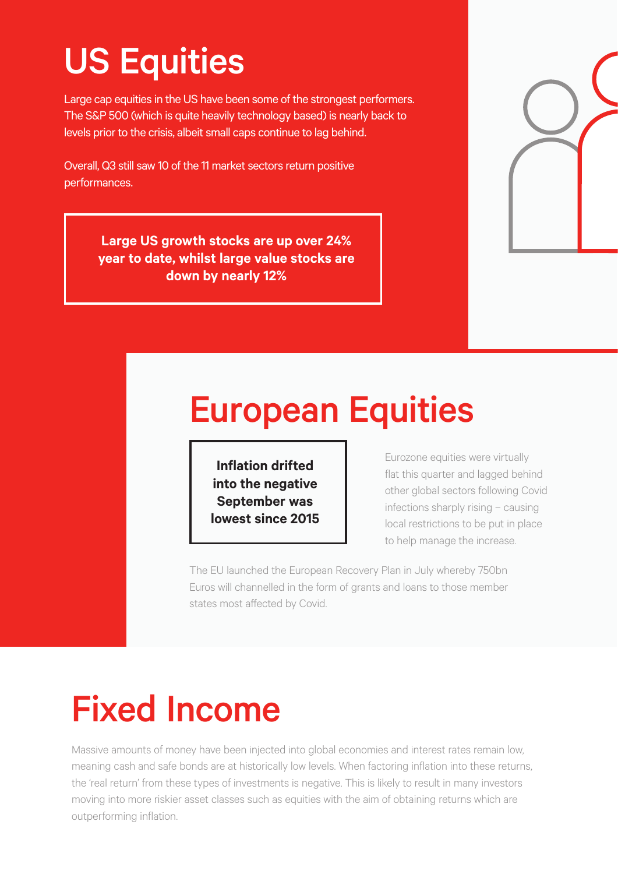#### US Equities

Large cap equities in the US have been some of the strongest performers. The S&P 500 (which is quite heavily technology based) is nearly back to levels prior to the crisis, albeit small caps continue to lag behind.

Overall, Q3 still saw 10 of the 11 market sectors return positive performances.

**Large US growth stocks are up over 24% year to date, whilst large value stocks are down by nearly 12%**

#### European Equities

**Inflation drifted into the negative September was lowest since 2015**

Eurozone equities were virtually flat this quarter and lagged behind other global sectors following Covid infections sharply rising – causing local restrictions to be put in place to help manage the increase.

The EU launched the European Recovery Plan in July whereby 750bn Euros will channelled in the form of grants and loans to those member states most affected by Covid.

### Fixed Income

Massive amounts of money have been injected into global economies and interest rates remain low, meaning cash and safe bonds are at historically low levels. When factoring inflation into these returns, the 'real return' from these types of investments is negative. This is likely to result in many investors moving into more riskier asset classes such as equities with the aim of obtaining returns which are outperforming inflation.